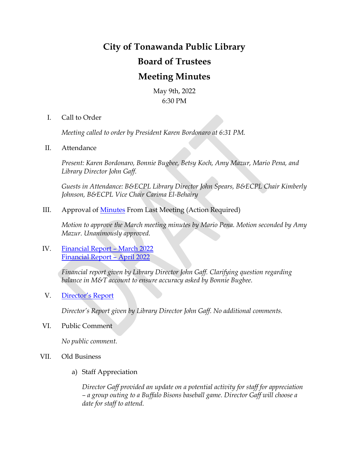# **City of Tonawanda Public Library Board of Trustees Meeting Minutes**

May 9th, 2022 6:30 PM

I. Call to Order

*Meeting called to order by President Karen Bordonaro at 6:31 PM.*

II. Attendance

*Present: Karen Bordonaro, Bonnie Bugbee, Betsy Koch, Amy Mazur, Mario Pena, and Library Director John Gaff.*

*Guests in Attendance: B&ECPL Library Director John Spears, B&ECPL Chair Kimberly Johnson, B&ECPL Vice Chair Carima El-Behairy*

III. Approval of [Minutes](https://www.buffalolib.org/sites/default/files/users/ton/files/March%202022%20DRAFT.pdf) From Last Meeting (Action Required)

*Motion to approve the March meeting minutes by Mario Pena. Motion seconded by Amy Mazur. Unanimously approved.*

IV. [Financial Report](https://www.buffalolib.org/sites/default/files/users/ton/files/Financial%20Statement%20March%202022.pdf) – March 2022 [Financial Report](https://www.buffalolib.org/sites/default/files/users/ton/files/Financial%20Statement%20April%202022.pdf) – April 2022

> *Financial report given by Library Director John Gaff. Clarifying question regarding balance in M&T account to ensure accuracy asked by Bonnie Bugbee.*

V. [Director's Report](https://www.buffalolib.org/sites/default/files/users/ton/files/TON%20Monthly%20Report%20March%20and%20April%202022.pdf)

*Director's Report given by Library Director John Gaff. No additional comments.*

VI. Public Comment

*No public comment.*

- VII. Old Business
	- a) Staff Appreciation

*Director Gaff provided an update on a potential activity for staff for appreciation – a group outing to a Buffalo Bisons baseball game. Director Gaff will choose a date for staff to attend.*